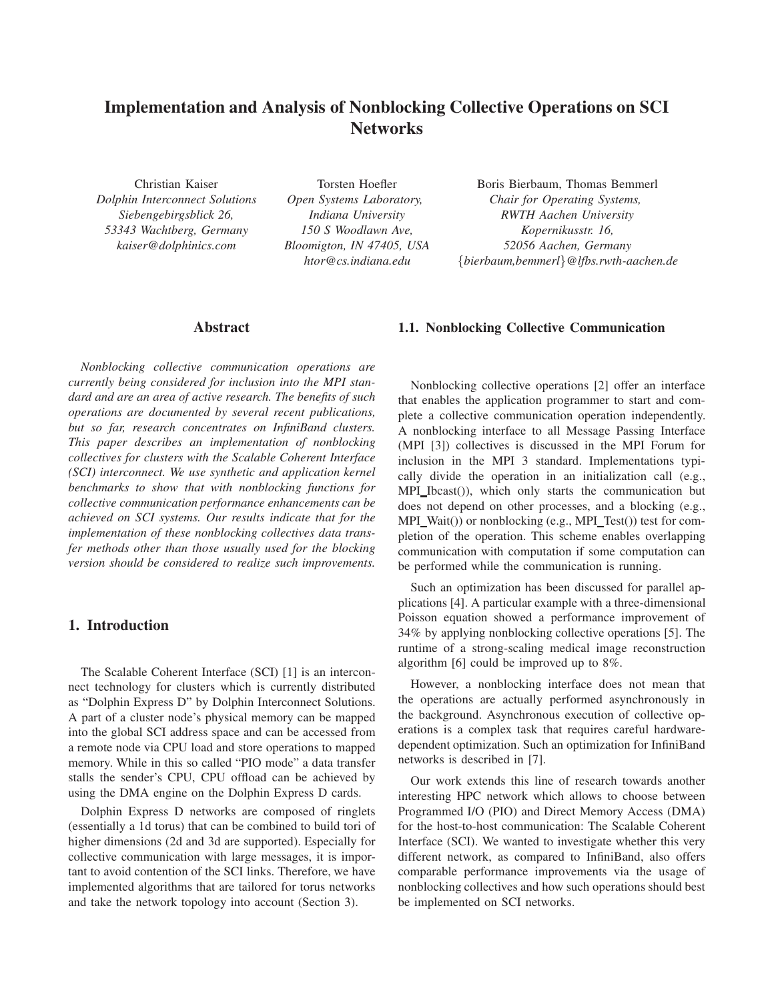# **Implementation and Analysis of Nonblocking Collective Operations on SCI Networks**

Christian Kaiser *Dolphin Interconnect Solutions Siebengebirgsblick 26, 53343 Wachtberg, Germany kaiser@dolphinics.com*

Torsten Hoefler *Open Systems Laboratory, Indiana University 150 S Woodlawn Ave, Bloomigton, IN 47405, USA htor@cs.indiana.edu*

Boris Bierbaum, Thomas Bemmerl *Chair for Operating Systems, RWTH Aachen University Kopernikusstr. 16, 52056 Aachen, Germany* {*bierbaum,bemmerl*}*@lfbs.rwth-aachen.de*

## **Abstract**

*Nonblocking collective communication operations are currently being considered for inclusion into the MPI standard and are an area of active research. The benefits of such operations are documented by several recent publications, but so far, research concentrates on InfiniBand clusters. This paper describes an implementation of nonblocking collectives for clusters with the Scalable Coherent Interface (SCI) interconnect. We use synthetic and application kernel benchmarks to show that with nonblocking functions for collective communication performance enhancements can be achieved on SCI systems. Our results indicate that for the implementation of these nonblocking collectives data transfer methods other than those usually used for the blocking version should be considered to realize such improvements.*

### **1. Introduction**

The Scalable Coherent Interface (SCI) [1] is an interconnect technology for clusters which is currently distributed as "Dolphin Express D" by Dolphin Interconnect Solutions. A part of a cluster node's physical memory can be mapped into the global SCI address space and can be accessed from a remote node via CPU load and store operations to mapped memory. While in this so called "PIO mode" a data transfer stalls the sender's CPU, CPU offload can be achieved by using the DMA engine on the Dolphin Express D cards.

Dolphin Express D networks are composed of ringlets (essentially a 1d torus) that can be combined to build tori of higher dimensions (2d and 3d are supported). Especially for collective communication with large messages, it is important to avoid contention of the SCI links. Therefore, we have implemented algorithms that are tailored for torus networks and take the network topology into account (Section 3).

## **1.1. Nonblocking Collective Communication**

Nonblocking collective operations [2] offer an interface that enables the application programmer to start and complete a collective communication operation independently. A nonblocking interface to all Message Passing Interface (MPI [3]) collectives is discussed in the MPI Forum for inclusion in the MPI 3 standard. Implementations typically divide the operation in an initialization call (e.g., MPI\_Ibcast()), which only starts the communication but does not depend on other processes, and a blocking (e.g., MPI\_Wait()) or nonblocking (e.g., MPI\_Test()) test for completion of the operation. This scheme enables overlapping communication with computation if some computation can be performed while the communication is running.

Such an optimization has been discussed for parallel applications [4]. A particular example with a three-dimensional Poisson equation showed a performance improvement of 34% by applying nonblocking collective operations [5]. The runtime of a strong-scaling medical image reconstruction algorithm [6] could be improved up to 8%.

However, a nonblocking interface does not mean that the operations are actually performed asynchronously in the background. Asynchronous execution of collective operations is a complex task that requires careful hardwaredependent optimization. Such an optimization for InfiniBand networks is described in [7].

Our work extends this line of research towards another interesting HPC network which allows to choose between Programmed I/O (PIO) and Direct Memory Access (DMA) for the host-to-host communication: The Scalable Coherent Interface (SCI). We wanted to investigate whether this very different network, as compared to InfiniBand, also offers comparable performance improvements via the usage of nonblocking collectives and how such operations should best be implemented on SCI networks.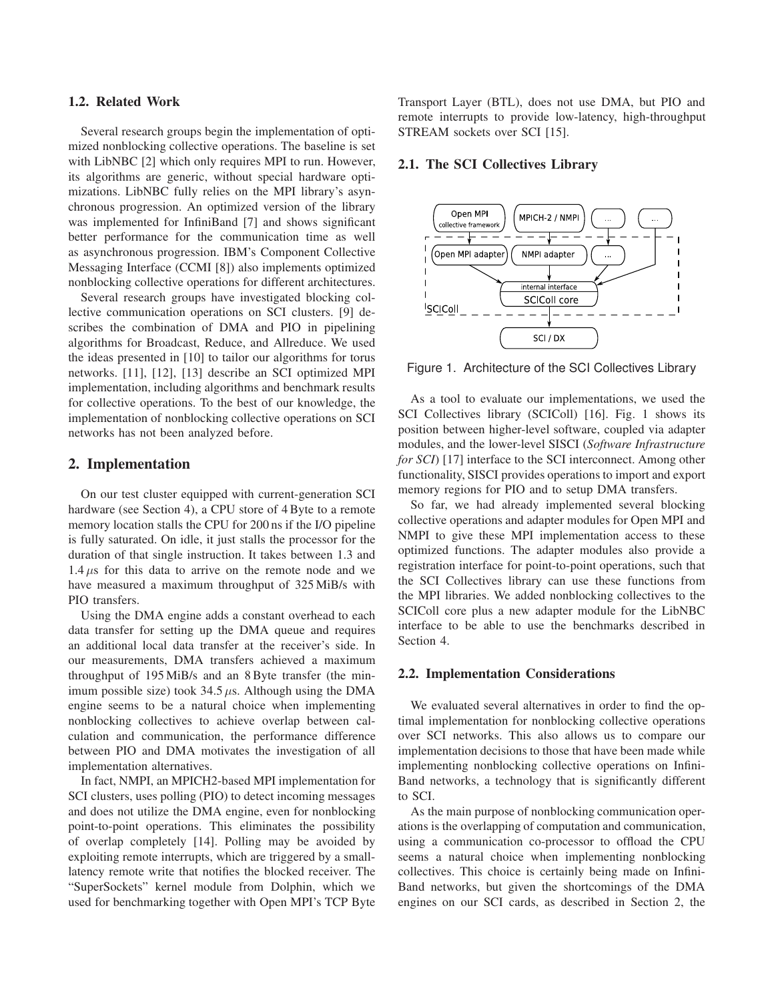#### **1.2. Related Work**

Several research groups begin the implementation of optimized nonblocking collective operations. The baseline is set with LibNBC [2] which only requires MPI to run. However, its algorithms are generic, without special hardware optimizations. LibNBC fully relies on the MPI library's asynchronous progression. An optimized version of the library was implemented for InfiniBand [7] and shows significant better performance for the communication time as well as asynchronous progression. IBM's Component Collective Messaging Interface (CCMI [8]) also implements optimized nonblocking collective operations for different architectures.

Several research groups have investigated blocking collective communication operations on SCI clusters. [9] describes the combination of DMA and PIO in pipelining algorithms for Broadcast, Reduce, and Allreduce. We used the ideas presented in [10] to tailor our algorithms for torus networks. [11], [12], [13] describe an SCI optimized MPI implementation, including algorithms and benchmark results for collective operations. To the best of our knowledge, the implementation of nonblocking collective operations on SCI networks has not been analyzed before.

## **2. Implementation**

On our test cluster equipped with current-generation SCI hardware (see Section 4), a CPU store of 4 Byte to a remote memory location stalls the CPU for 200 ns if the I/O pipeline is fully saturated. On idle, it just stalls the processor for the duration of that single instruction. It takes between 1.3 and  $1.4 \mu s$  for this data to arrive on the remote node and we have measured a maximum throughput of 325 MiB/s with PIO transfers.

Using the DMA engine adds a constant overhead to each data transfer for setting up the DMA queue and requires an additional local data transfer at the receiver's side. In our measurements, DMA transfers achieved a maximum throughput of 195 MiB/s and an 8 Byte transfer (the minimum possible size) took  $34.5 \mu s$ . Although using the DMA engine seems to be a natural choice when implementing nonblocking collectives to achieve overlap between calculation and communication, the performance difference between PIO and DMA motivates the investigation of all implementation alternatives.

In fact, NMPI, an MPICH2-based MPI implementation for SCI clusters, uses polling (PIO) to detect incoming messages and does not utilize the DMA engine, even for nonblocking point-to-point operations. This eliminates the possibility of overlap completely [14]. Polling may be avoided by exploiting remote interrupts, which are triggered by a smalllatency remote write that notifies the blocked receiver. The "SuperSockets" kernel module from Dolphin, which we used for benchmarking together with Open MPI's TCP Byte Transport Layer (BTL), does not use DMA, but PIO and remote interrupts to provide low-latency, high-throughput STREAM sockets over SCI [15].

#### **2.1. The SCI Collectives Library**



Figure 1. Architecture of the SCI Collectives Library

As a tool to evaluate our implementations, we used the SCI Collectives library (SCIColl) [16]. Fig. 1 shows its position between higher-level software, coupled via adapter modules, and the lower-level SISCI (*Software Infrastructure for SCI*) [17] interface to the SCI interconnect. Among other functionality, SISCI provides operations to import and export memory regions for PIO and to setup DMA transfers.

So far, we had already implemented several blocking collective operations and adapter modules for Open MPI and NMPI to give these MPI implementation access to these optimized functions. The adapter modules also provide a registration interface for point-to-point operations, such that the SCI Collectives library can use these functions from the MPI libraries. We added nonblocking collectives to the SCIColl core plus a new adapter module for the LibNBC interface to be able to use the benchmarks described in Section 4.

#### **2.2. Implementation Considerations**

We evaluated several alternatives in order to find the optimal implementation for nonblocking collective operations over SCI networks. This also allows us to compare our implementation decisions to those that have been made while implementing nonblocking collective operations on Infini-Band networks, a technology that is significantly different to SCI.

As the main purpose of nonblocking communication operations is the overlapping of computation and communication, using a communication co-processor to offload the CPU seems a natural choice when implementing nonblocking collectives. This choice is certainly being made on Infini-Band networks, but given the shortcomings of the DMA engines on our SCI cards, as described in Section 2, the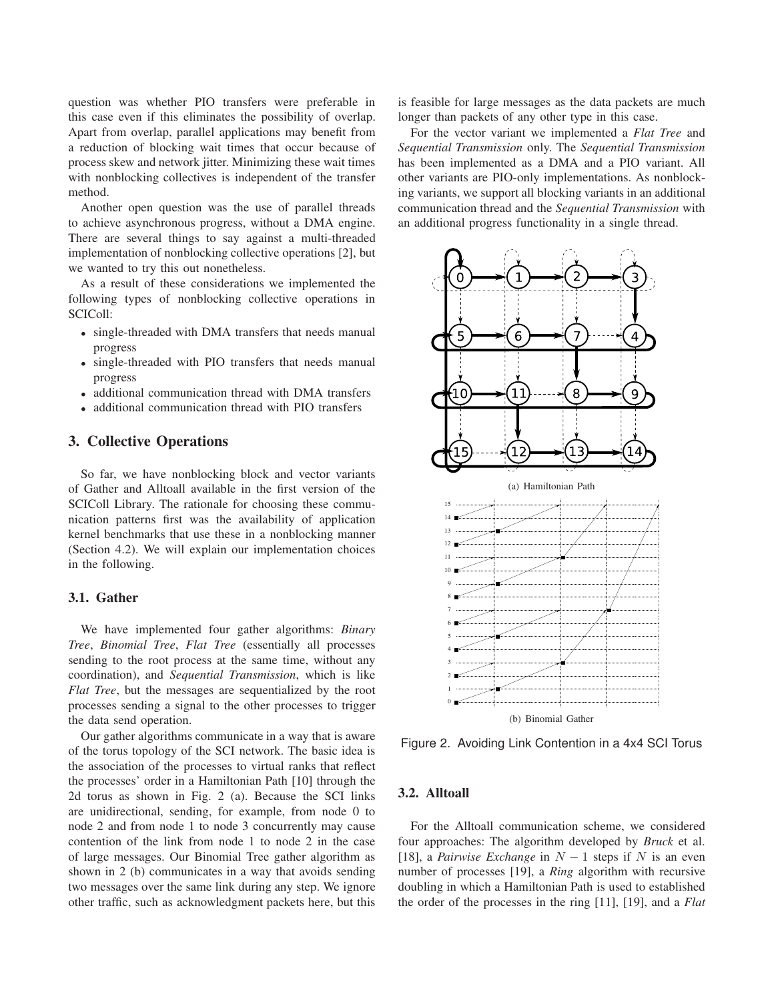question was whether PIO transfers were preferable in this case even if this eliminates the possibility of overlap. Apart from overlap, parallel applications may benefit from a reduction of blocking wait times that occur because of process skew and network jitter. Minimizing these wait times with nonblocking collectives is independent of the transfer method.

Another open question was the use of parallel threads to achieve asynchronous progress, without a DMA engine. There are several things to say against a multi-threaded implementation of nonblocking collective operations [2], but we wanted to try this out nonetheless.

As a result of these considerations we implemented the following types of nonblocking collective operations in SCIColl:

- single-threaded with DMA transfers that needs manual progress
- single-threaded with PIO transfers that needs manual progress
- additional communication thread with DMA transfers
- additional communication thread with PIO transfers

## **3. Collective Operations**

So far, we have nonblocking block and vector variants of Gather and Alltoall available in the first version of the SCIColl Library. The rationale for choosing these communication patterns first was the availability of application kernel benchmarks that use these in a nonblocking manner (Section 4.2). We will explain our implementation choices in the following.

#### **3.1. Gather**

We have implemented four gather algorithms: *Binary Tree*, *Binomial Tree*, *Flat Tree* (essentially all processes sending to the root process at the same time, without any coordination), and *Sequential Transmission*, which is like *Flat Tree*, but the messages are sequentialized by the root processes sending a signal to the other processes to trigger the data send operation.

Our gather algorithms communicate in a way that is aware of the torus topology of the SCI network. The basic idea is the association of the processes to virtual ranks that reflect the processes' order in a Hamiltonian Path [10] through the 2d torus as shown in Fig. 2 (a). Because the SCI links are unidirectional, sending, for example, from node 0 to node 2 and from node 1 to node 3 concurrently may cause contention of the link from node 1 to node 2 in the case of large messages. Our Binomial Tree gather algorithm as shown in 2 (b) communicates in a way that avoids sending two messages over the same link during any step. We ignore other traffic, such as acknowledgment packets here, but this is feasible for large messages as the data packets are much longer than packets of any other type in this case.

For the vector variant we implemented a *Flat Tree* and *Sequential Transmission* only. The *Sequential Transmission* has been implemented as a DMA and a PIO variant. All other variants are PIO-only implementations. As nonblocking variants, we support all blocking variants in an additional communication thread and the *Sequential Transmission* with an additional progress functionality in a single thread.



Figure 2. Avoiding Link Contention in a 4x4 SCI Torus

### **3.2. Alltoall**

For the Alltoall communication scheme, we considered four approaches: The algorithm developed by *Bruck* et al. [18], a *Pairwise Exchange* in  $N - 1$  steps if N is an even number of processes [19], a *Ring* algorithm with recursive doubling in which a Hamiltonian Path is used to established the order of the processes in the ring [11], [19], and a *Flat*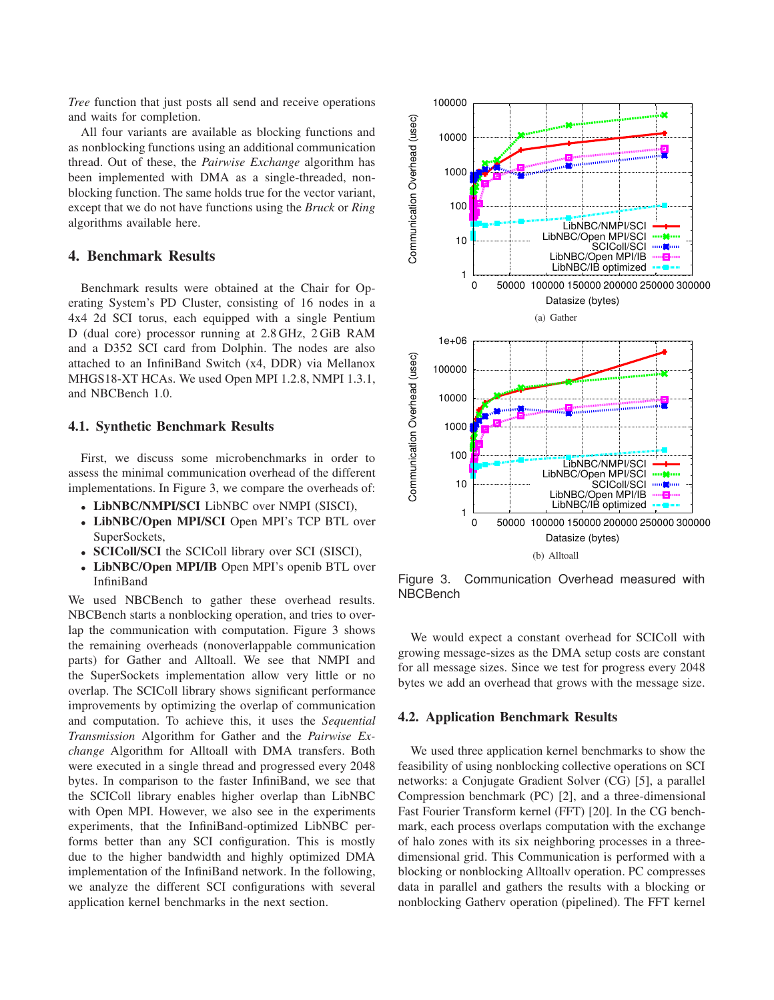*Tree* function that just posts all send and receive operations and waits for completion.

All four variants are available as blocking functions and as nonblocking functions using an additional communication thread. Out of these, the *Pairwise Exchange* algorithm has been implemented with DMA as a single-threaded, nonblocking function. The same holds true for the vector variant, except that we do not have functions using the *Bruck* or *Ring* algorithms available here.

# **4. Benchmark Results**

Benchmark results were obtained at the Chair for Operating System's PD Cluster, consisting of 16 nodes in a 4x4 2d SCI torus, each equipped with a single Pentium D (dual core) processor running at 2.8 GHz, 2 GiB RAM and a D352 SCI card from Dolphin. The nodes are also attached to an InfiniBand Switch (x4, DDR) via Mellanox MHGS18-XT HCAs. We used Open MPI 1.2.8, NMPI 1.3.1, and NBCBench 1.0.

#### **4.1. Synthetic Benchmark Results**

First, we discuss some microbenchmarks in order to assess the minimal communication overhead of the different implementations. In Figure 3, we compare the overheads of:

- **LibNBC/NMPI/SCI** LibNBC over NMPI (SISCI),
- **LibNBC/Open MPI/SCI** Open MPI's TCP BTL over SuperSockets,
- **SCIColl/SCI** the SCIColl library over SCI (SISCI),
- LibNBC/Open MPI/IB Open MPI's openib BTL over InfiniBand

We used NBCBench to gather these overhead results. NBCBench starts a nonblocking operation, and tries to overlap the communication with computation. Figure 3 shows the remaining overheads (nonoverlappable communication parts) for Gather and Alltoall. We see that NMPI and the SuperSockets implementation allow very little or no overlap. The SCIColl library shows significant performance improvements by optimizing the overlap of communication and computation. To achieve this, it uses the *Sequential Transmission* Algorithm for Gather and the *Pairwise Exchange* Algorithm for Alltoall with DMA transfers. Both were executed in a single thread and progressed every 2048 bytes. In comparison to the faster InfiniBand, we see that the SCIColl library enables higher overlap than LibNBC with Open MPI. However, we also see in the experiments experiments, that the InfiniBand-optimized LibNBC performs better than any SCI configuration. This is mostly due to the higher bandwidth and highly optimized DMA implementation of the InfiniBand network. In the following, we analyze the different SCI configurations with several application kernel benchmarks in the next section.



Figure 3. Communication Overhead measured with NBCBench

We would expect a constant overhead for SCIColl with growing message-sizes as the DMA setup costs are constant for all message sizes. Since we test for progress every 2048 bytes we add an overhead that grows with the message size.

#### **4.2. Application Benchmark Results**

We used three application kernel benchmarks to show the feasibility of using nonblocking collective operations on SCI networks: a Conjugate Gradient Solver (CG) [5], a parallel Compression benchmark (PC) [2], and a three-dimensional Fast Fourier Transform kernel (FFT) [20]. In the CG benchmark, each process overlaps computation with the exchange of halo zones with its six neighboring processes in a threedimensional grid. This Communication is performed with a blocking or nonblocking Alltoallv operation. PC compresses data in parallel and gathers the results with a blocking or nonblocking Gatherv operation (pipelined). The FFT kernel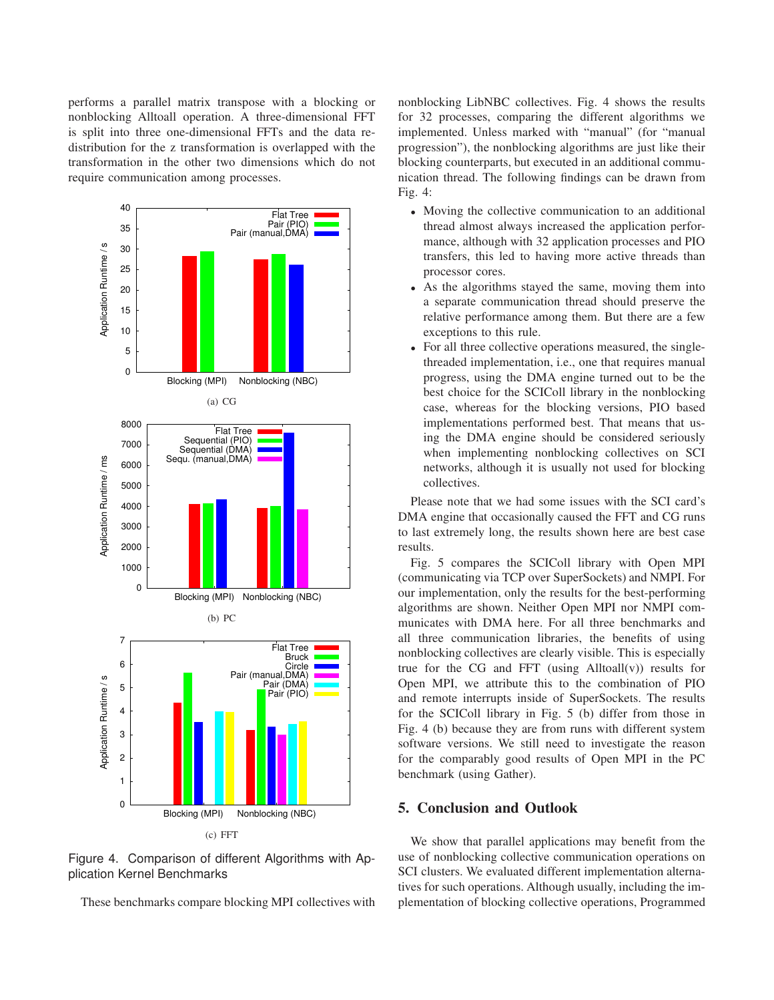performs a parallel matrix transpose with a blocking or nonblocking Alltoall operation. A three-dimensional FFT is split into three one-dimensional FFTs and the data redistribution for the z transformation is overlapped with the transformation in the other two dimensions which do not require communication among processes.



Figure 4. Comparison of different Algorithms with Application Kernel Benchmarks

These benchmarks compare blocking MPI collectives with

nonblocking LibNBC collectives. Fig. 4 shows the results for 32 processes, comparing the different algorithms we implemented. Unless marked with "manual" (for "manual progression"), the nonblocking algorithms are just like their blocking counterparts, but executed in an additional communication thread. The following findings can be drawn from Fig. 4:

- Moving the collective communication to an additional thread almost always increased the application performance, although with 32 application processes and PIO transfers, this led to having more active threads than processor cores.
- As the algorithms stayed the same, moving them into a separate communication thread should preserve the relative performance among them. But there are a few exceptions to this rule.
- For all three collective operations measured, the singlethreaded implementation, i.e., one that requires manual progress, using the DMA engine turned out to be the best choice for the SCIColl library in the nonblocking case, whereas for the blocking versions, PIO based implementations performed best. That means that using the DMA engine should be considered seriously when implementing nonblocking collectives on SCI networks, although it is usually not used for blocking collectives.

Please note that we had some issues with the SCI card's DMA engine that occasionally caused the FFT and CG runs to last extremely long, the results shown here are best case results.

Fig. 5 compares the SCIColl library with Open MPI (communicating via TCP over SuperSockets) and NMPI. For our implementation, only the results for the best-performing algorithms are shown. Neither Open MPI nor NMPI communicates with DMA here. For all three benchmarks and all three communication libraries, the benefits of using nonblocking collectives are clearly visible. This is especially true for the CG and FFT (using  $Alltoall(v)$ ) results for Open MPI, we attribute this to the combination of PIO and remote interrupts inside of SuperSockets. The results for the SCIColl library in Fig. 5 (b) differ from those in Fig. 4 (b) because they are from runs with different system software versions. We still need to investigate the reason for the comparably good results of Open MPI in the PC benchmark (using Gather).

# **5. Conclusion and Outlook**

We show that parallel applications may benefit from the use of nonblocking collective communication operations on SCI clusters. We evaluated different implementation alternatives for such operations. Although usually, including the implementation of blocking collective operations, Programmed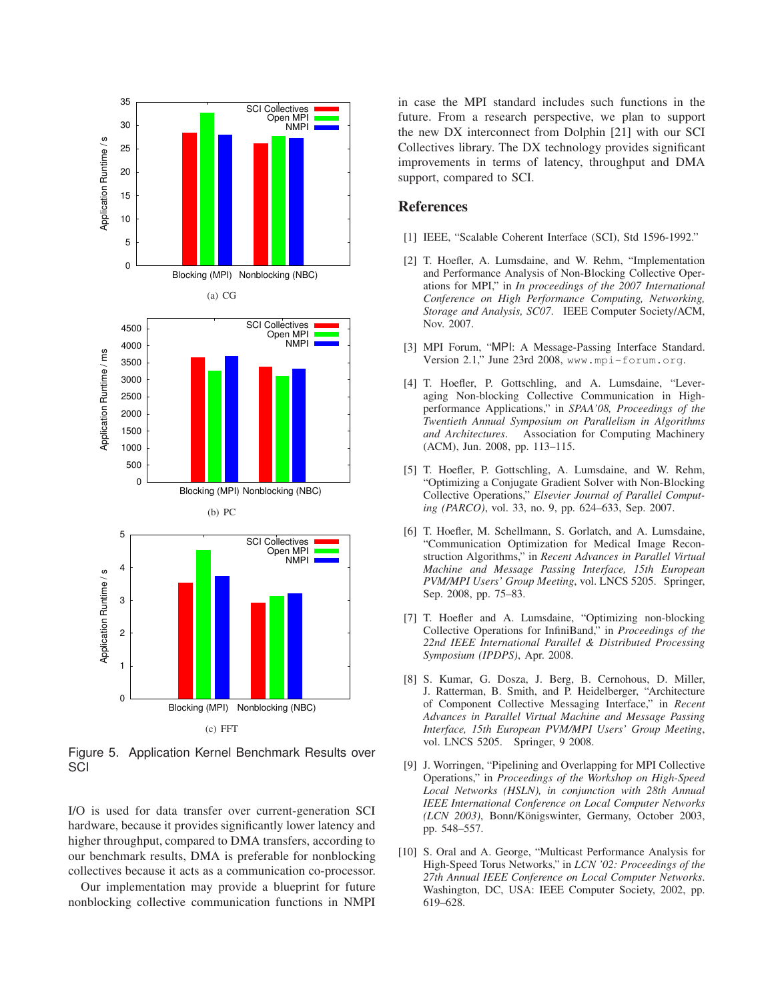

Figure 5. Application Kernel Benchmark Results over **SCI** 

I/O is used for data transfer over current-generation SCI hardware, because it provides significantly lower latency and higher throughput, compared to DMA transfers, according to our benchmark results, DMA is preferable for nonblocking collectives because it acts as a communication co-processor.

Our implementation may provide a blueprint for future nonblocking collective communication functions in NMPI in case the MPI standard includes such functions in the future. From a research perspective, we plan to support the new DX interconnect from Dolphin [21] with our SCI Collectives library. The DX technology provides significant improvements in terms of latency, throughput and DMA support, compared to SCI.

## **References**

- [1] IEEE, "Scalable Coherent Interface (SCI), Std 1596-1992."
- [2] T. Hoefler, A. Lumsdaine, and W. Rehm, "Implementation and Performance Analysis of Non-Blocking Collective Operations for MPI," in *In proceedings of the 2007 International Conference on High Performance Computing, Networking, Storage and Analysis, SC07*. IEEE Computer Society/ACM, Nov. 2007.
- [3] MPI Forum, "MPI: A Message-Passing Interface Standard. Version 2.1," June 23rd 2008, www.mpi-forum.org.
- [4] T. Hoefler, P. Gottschling, and A. Lumsdaine, "Leveraging Non-blocking Collective Communication in Highperformance Applications," in *SPAA'08, Proceedings of the Twentieth Annual Symposium on Parallelism in Algorithms and Architectures*. Association for Computing Machinery (ACM), Jun. 2008, pp. 113–115.
- [5] T. Hoefler, P. Gottschling, A. Lumsdaine, and W. Rehm, "Optimizing a Conjugate Gradient Solver with Non-Blocking Collective Operations," *Elsevier Journal of Parallel Computing (PARCO)*, vol. 33, no. 9, pp. 624–633, Sep. 2007.
- [6] T. Hoefler, M. Schellmann, S. Gorlatch, and A. Lumsdaine, "Communication Optimization for Medical Image Reconstruction Algorithms," in *Recent Advances in Parallel Virtual Machine and Message Passing Interface, 15th European PVM/MPI Users' Group Meeting*, vol. LNCS 5205. Springer, Sep. 2008, pp. 75–83.
- [7] T. Hoefler and A. Lumsdaine, "Optimizing non-blocking Collective Operations for InfiniBand," in *Proceedings of the 22nd IEEE International Parallel & Distributed Processing Symposium (IPDPS)*, Apr. 2008.
- [8] S. Kumar, G. Dosza, J. Berg, B. Cernohous, D. Miller, J. Ratterman, B. Smith, and P. Heidelberger, "Architecture of Component Collective Messaging Interface," in *Recent Advances in Parallel Virtual Machine and Message Passing Interface, 15th European PVM/MPI Users' Group Meeting*, vol. LNCS 5205. Springer, 9 2008.
- [9] J. Worringen, "Pipelining and Overlapping for MPI Collective Operations," in *Proceedings of the Workshop on High-Speed Local Networks (HSLN), in conjunction with 28th Annual IEEE International Conference on Local Computer Networks (LCN 2003)*, Bonn/Königswinter, Germany, October 2003, pp. 548–557.
- [10] S. Oral and A. George, "Multicast Performance Analysis for High-Speed Torus Networks," in *LCN '02: Proceedings of the 27th Annual IEEE Conference on Local Computer Networks*. Washington, DC, USA: IEEE Computer Society, 2002, pp. 619–628.